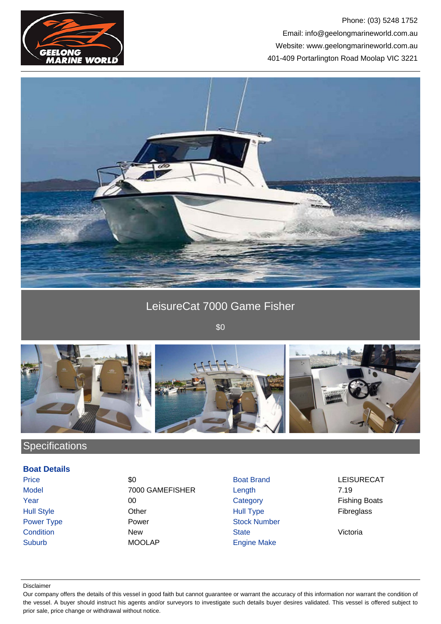

### Phone: (03) 5248 1752 Email: info@geelongmarineworld.com.au Website: www.geelongmarineworld.com.au 401-409 Portarlington Road Moolap VIC 3221



## LeisureCat 7000 Game Fisher

\$0



# **Specifications**

#### **Boat Details**

Price \$0 Boat Brand LEISURECAT Model 7000 GAMEFISHER Length 7.19 Year 200 00 Category Category Fishing Boats Hull Style Other Hull Type Fibreglass Power Type **Power Power Stock Number** Power Condition **New State** State **Victoria** Suburb MOOLAP Engine Make

#### Disclaimer

Our company offers the details of this vessel in good faith but cannot guarantee or warrant the accuracy of this information nor warrant the condition of the vessel. A buyer should instruct his agents and/or surveyors to investigate such details buyer desires validated. This vessel is offered subject to prior sale, price change or withdrawal without notice.